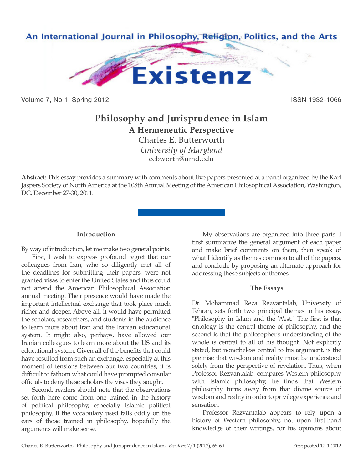

Volume 7, No 1, Spring 2012 **ISSN 1932-1066** 

# **Philosophy and Jurisprudence in Islam A Hermeneutic Perspective**

Charles E. Butterworth *University of Maryland* cebworth@umd.edu

**Abstract:** This essay provides a summary with comments about five papers presented at a panel organized by the Karl Jaspers Society of North America at the 108th Annual Meeting of the American Philosophical Association, Washington, DC, December 27-30, 2011.

### **Introduction**

By way of introduction, let me make two general points.

First, I wish to express profound regret that our colleagues from Iran, who so diligently met all of the deadlines for submitting their papers, were not granted visas to enter the United States and thus could not attend the American Philosophical Association annual meeting. Their presence would have made the important intellectual exchange that took place much richer and deeper. Above all, it would have permitted the scholars, researchers, and students in the audience to learn more about Iran and the Iranian educational system. It might also, perhaps, have allowed our Iranian colleagues to learn more about the US and its educational system. Given all of the benefits that could have resulted from such an exchange, especially at this moment of tensions between our two countries, it is difficult to fathom what could have prompted consular officials to deny these scholars the visas they sought.

Second, readers should note that the observations set forth here come from one trained in the history of political philosophy, especially Islamic political philosophy. If the vocabulary used falls oddly on the ears of those trained in philosophy, hopefully the arguments will make sense.

My observations are organized into three parts. I first summarize the general argument of each paper and make brief comments on them, then speak of what I identify as themes common to all of the papers, and conclude by proposing an alternate approach for addressing these subjects or themes.

#### **The Essays**

Dr. Mohammad Reza Rezvantalab, University of Tehran, sets forth two principal themes in his essay, "Philosophy in Islam and the West." The first is that ontology is the central theme of philosophy, and the second is that the philosopher's understanding of the whole is central to all of his thought. Not explicitly stated, but nonetheless central to his argument, is the premise that wisdom and reality must be understood solely from the perspective of revelation. Thus, when Professor Rezvantalab, compares Western philosophy with Islamic philosophy, he finds that Western philosophy turns away from that divine source of wisdom and reality in order to privilege experience and sensation.

Professor Rezvantalab appears to rely upon a history of Western philosophy, not upon first-hand knowledge of their writings, for his opinions about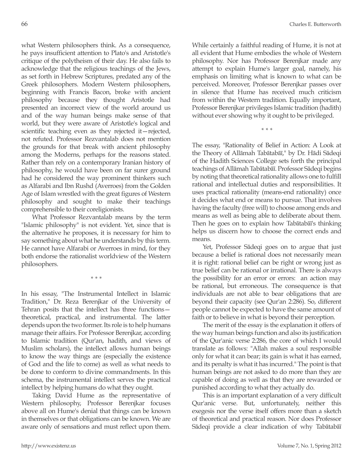what Western philosophers think. As a consequence, he pays insufficient attention to Plato's and Aristotle's critique of the polytheism of their day. He also fails to acknowledge that the religious teachings of the Jews, as set forth in Hebrew Scriptures, predated any of the Greek philosophers. Modern Western philosophers, beginning with Francis Bacon, broke with ancient philosophy because they thought Aristotle had presented an incorrect view of the world around us and of the way human beings make sense of that world, but they were aware of Aristotle's logical and scientific teaching even as they rejected it—rejected, not refuted. Professor Rezvantalab does not mention the grounds for that break with ancient philosophy among the Moderns, perhaps for the reasons stated. Rather than rely on a contemporary Iranian history of philosophy, he would have been on far surer ground had he considered the way prominent thinkers such as Alfarabi and Ibn Rushd (Averroes) from the Golden Age of Islam wrestled with the great figures of Western philosophy and sought to make their teachings comprehensible to their coreligionists.

What Professor Rezvantalab means by the term "Islamic philosophy" is not evident. Yet, since that is the alternative he proposes, it is necessary for him to say something about what he understands by this term. He cannot have Alfarabi or Averroes in mind, for they both endorse the rationalist worldview of the Western philosophers.

*\* \* \**

In his essay, "The Instrumental Intellect in Islamic Tradition," Dr. Reza Berenjkar of the University of Tehran posits that the intellect has three functions theoretical, practical, and instrumental. The latter depends upon the two former. Its role is to help humans manage their affairs. For Professor Berenjkar, according to Islamic tradition (Qur'an, hadith, and views of Muslim scholars), the intellect allows human beings to know the way things are (especially the existence of God and the life to come) as well as what needs to be done to conform to divine commandments. In this schema, the instrumental intellect serves the practical intellect by helping humans do what they ought.

Taking David Hume as the representative of Western philosophy, Professor Berenjkar focuses above all on Hume's denial that things can be known in themselves or that obligations can be known. We are aware only of sensations and must reflect upon them. While certainly a faithful reading of Hume, it is not at all evident that Hume embodies the whole of Western philosophy. Nor has Professor Berenjkar made any attempt to explain Hume's larger goal, namely, his emphasis on limiting what is known to what can be perceived. Moreover, Professor Berenjkar passes over in silence that Hume has received much criticism from within the Western tradition. Equally important, Professor Berenjkar privileges Islamic tradition (hadith) without ever showing why it ought to be privileged.

*\* \* \**

The essay, "Rationality of Belief in Action: A Look at the Theory of Allāmah Tabātabāī," by Dr. Hādi Sādeqi of the Hadith Sciences College sets forth the principal teachings of Allāmah Tabātabāī. Professor Sādeqi begins by noting that theoretical rationality allows one to fulfill rational and intellectual duties and responsibilities. It uses practical rationality (means-end rationality) once it decides what end or means to pursue. That involves having the faculty (free will) to choose among ends and means as well as being able to deliberate about them. Then he goes on to explain how Tabātabāī's thinking helps us discern how to choose the correct ends and means.

Yet, Professor Sādeqi goes on to argue that just because a belief is rational does not necessarily mean it is right: rational belief can be right or wrong just as true belief can be rational or irrational. There is always the possibility for an error or errors: an action may be rational, but erroneous. The consequence is that individuals are not able to bear obligations that are beyond their capacity (see Qur'an 2:286). So, different people cannot be expected to have the same amount of faith or to believe in what is beyond their perception.

The merit of the essay is the explanation it offers of the way human beings function and also its justification of the Qur'anic verse 2:286, the core of which I would translate as follows: "Allah makes a soul responsible only for what it can bear; its gain is what it has earned, and its penalty is what it has incurred." The point is that human beings are not asked to do more than they are capable of doing as well as that they are rewarded or punished according to what they actually do.

This is an important explanation of a very difficult Qur'anic verse. But, unfortunately, neither this exegesis nor the verse itself offers more than a sketch of theoretical and practical reason. Nor does Professor Sādeqi provide a clear indication of why Tabātabāī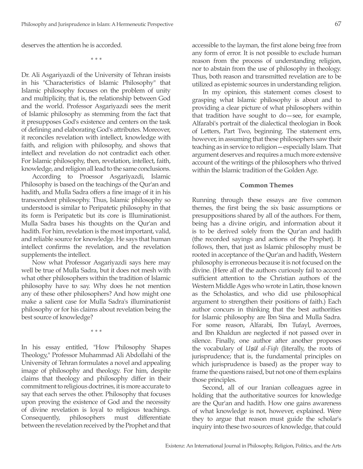deserves the attention he is accorded.

*\* \* \**

Dr. Ali Asgariyazdi of the University of Tehran insists in his "Characteristics of Islamic Philosophy" that Islamic philosophy focuses on the problem of unity and multiplicity, that is, the relationship between God and the world. Professor Asgariyazdi sees the merit of Islamic philosophy as stemming from the fact that it presupposes God's existence and centers on the task of defining and elaborating God's attributes. Moreover, it reconciles revelation with intellect, knowledge with faith, and religion with philosophy, and shows that intellect and revelation do not contradict each other. For Islamic philosophy, then, revelation, intellect, faith, knowledge, and religion all lead to the same conclusions.

According to Proessor Asgariyazdi, Islamic Philosophy is based on the teachings of the Qur'an and hadith, and Mulla Sadra offers a fine image of it in his transcendent philosophy. Thus, Islamic philosophy so understood is similar to Peripatetic philosophy in that its form is Peripatetic but its core is Illuminationist. Mulla Sadra bases his thoughts on the Qur'an and hadith. For him, revelation is the most important, valid, and reliable source for knowledge. He says that human intellect confirms the revelation, and the revelation supplements the intellect.

Now what Professor Asgariyazdi says here may well be true of Mulla Sadra, but it does not mesh with what other philosophers within the tradition of Islamic philosophy have to say. Why does he not mention any of these other philosophers? And how might one make a salient case for Mulla Sadra's illuminationist philosophy or for his claims about revelation being the best source of knowledge?

*\* \* \**

In his essay entitled, "How Philosophy Shapes Theology," Professor Muhammad Ali Abdollahi of the University of Tehran formulates a novel and appealing image of philosophy and theology. For him, despite claims that theology and philosophy differ in their commitment to religious doctrines, it is more accurate to say that each serves the other. Philosophy that focuses upon proving the existence of God and the necessity of divine revelation is loyal to religious teachings. Consequently, philosophers must differentiate between the revelation received by the Prophet and that accessible to the layman, the first alone being free from any form of error. It is not possible to exclude human reason from the process of understanding religion, nor to abstain from the use of philosophy in theology. Thus, both reason and transmitted revelation are to be utilized as epistemic sources in understanding religion.

In my opinion, this statement comes closest to grasping what Islamic philosophy is about and to providing a clear picture of what philosophers within that tradition have sought to do—see, for example, Alfarabi's portrait of the dialectical theologian in Book of Letters, Part Two, beginning. The statement errs, however, in assuming that these philosophers saw their teaching as in service to religion—especially Islam. That argument deserves and requires a much more extensive account of the writings of the philosophers who thrived within the Islamic tradition of the Golden Age.

**Common Themes**

Running through these essays are five common themes, the first being the six basic assumptions or presuppositions shared by all of the authors. For them, being has a divine origin, and information about it is to be derived solely from the Qur'an and hadith (the recorded sayings and actions of the Prophet). It follows, then, that just as Islamic philosophy must be rooted in acceptance of the Qur'an and hadith, Western philosophy is erroneous because it is not focused on the divine. (Here all of the authors curiously fail to accord sufficient attention to the Christian authors of the Western Middle Ages who wrote in Latin, those known as the Scholastics, and who did use philosophical argument to strengthen their positions of faith.) Each author concurs in thinking that the best authorities for Islamic philosophy are Ibn Sina and Mulla Sadra. For some reason, Alfarabi, Ibn Tufayl, Averroes, and Ibn Khaldun are neglected if not passed over in silence. Finally, one author after another proposes the vocabulary of *U*ṣū*l al-Fiqh* (literally, the roots of jurisprudence; that is, the fundamental principles on which jurisprudence is based) as the proper way to frame the questions raised, but not one of them explains those principles.

Second, all of our Iranian colleagues agree in holding that the authoritative sources for knowledge are the Qur'an and hadith. How one gains awareness of what knowledge is not, however, explained. Were they to argue that reason must guide the scholar's inquiry into these two sources of knowledge, that could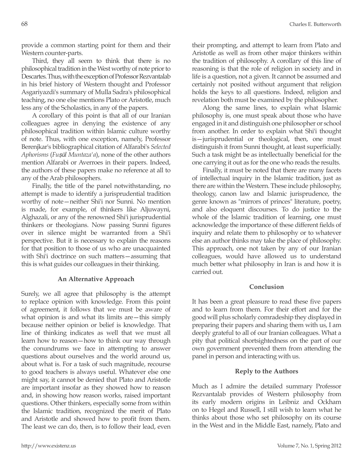provide a common starting point for them and their Western counter-parts.

Third, they all seem to think that there is no philosophical tradition in the West worthy of note prior to Descartes. Thus, with the exception of Professor Rezvantalab in his brief history of Western thought and Professor Asgariyazdi's summary of Mulla Sadra's philosophical teaching, no one else mentions Plato or Aristotle, much less any of the Scholastics, in any of the papers.

A corollary of this point is that all of our Iranian colleagues agree in denying the existence of any philosophical tradition within Islamic culture worthy of note. Thus, with one exception, namely, Professor Berenjkar's bibliographical citation of Alfarabi's *Selected Aphorisms* (*Fu*ṣū*l Muntaza'a*), none of the other authors mention Alfarabi or Averroes in their papers. Indeed, the authors of these papers make no reference at all to any of the Arab philosophers.

Finally, the title of the panel notwithstanding, no attempt is made to identify a jurisprudential tradition worthy of note—neither Shi'i nor Sunni. No mention is made, for example, of thinkers like Aljuwayni, Alghazali, or any of the renowned Shi'i jurisprudential thinkers or theologians. Now passing Sunni figures over in silence might be warranted from a Shi'i perspective. But it is necessary to explain the reasons for that position to those of us who are unacquainted with Shi'i doctrince on such matters—assuming that this is what guides our colleagues in their thinking.

#### **An Alternative Approach**

Surely, we all agree that philosophy is the attempt to replace opinion with knowledge. From this point of agreement, it follows that we must be aware of what opinion is and what its limits are—this simply because neither opinion or belief is knowledge. That line of thinking indicates as well that we must all learn how to reason—how to think our way through the conundrums we face in attempting to answer questions about ourselves and the world around us, about what is. For a task of such magnitude, recourse to good teachers is always useful. Whatever else one might say, it cannot be denied that Plato and Aristotle are important insofar as they showed how to reason and, in showing how reason works, raised important questions. Other thinkers, especially some from within the Islamic tradition, recognized the merit of Plato and Aristotle and showed how to profit from them. The least we can do, then, is to follow their lead, even their prompting, and attempt to learn from Plato and Aristotle as well as from other major thinkers within the tradition of philosophy. A corollary of this line of reasoning is that the role of religion in society and in life is a question, not a given. It cannot be assumed and certainly not posited without argument that religion holds the keys to all questions. Indeed, religion and revelation both must be examined by the philosopher.

Along the same lines, to explain what Islamic philosophy is, one must speak about those who have engaged in it and distinguish one philosopher or school from another. In order to explain what Shi'i thought is—jurisprudential or theological, then, one must distinguish it from Sunni thought, at least superficially. Such a task might be as intellectually beneficial for the one carrying it out as for the one who reads the results.

Finally, it must be noted that there are many facets of intellectual inquiry in the Islamic tradition, just as there are within the Western. These include philosophy, theology, canon law and Islamic jurisprudence, the genre known as "mirrors of princes" literature, poetry, and also eloquent discourses. To do justice to the whole of the Islamic tradition of learning, one must acknowledge the importance of these different fields of inquiry and relate them to philosophy or to whatever else an author thinks may take the place of philosophy. This approach, one not taken by any of our Iranian colleagues, would have allowed us to understand much better what philosophy in Iran is and how it is carried out.

#### **Conclusion**

It has been a great pleasure to read these five papers and to learn from them. For their effort and for the good will plus scholarly comradeship they displayed in preparing their papers and sharing them with us, I am deeply grateful to all of our Iranian colleagues. What a pity that political shortsightedness on the part of our own government prevented them from attending the panel in person and interacting with us.

## **Reply to the Authors**

Much as I admire the detailed summary Professor Rezvantalab provides of Western philosophy from its early modern origins in Leibniz and Ockham on to Hegel and Russell, I still wish to learn what he thinks about those who set philosophy on its course in the West and in the Middle East, namely, Plato and